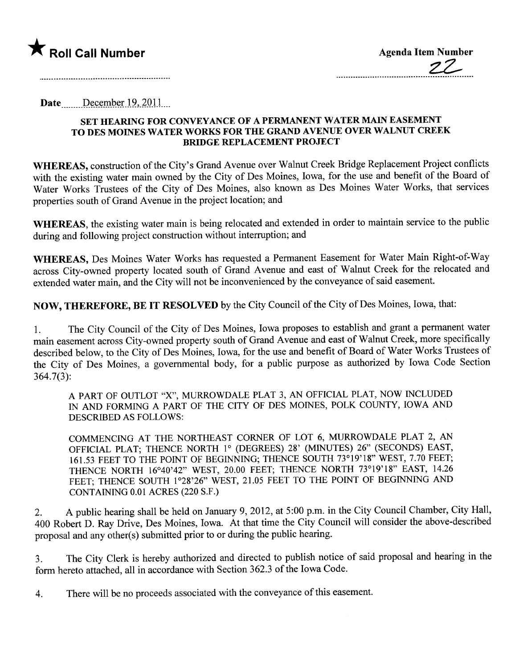

Date \_\_\_\_\_\_ December 19, 2011

## SET HEARING FOR CONVEYANCE OF A PERMANENT WATER MAIN EASEMENT TO DES MOINES WATER WORKS FOR THE GRAND AVENUE OVER WALNUT CREEK BRIGE REPLACEMENT PROJECT

WHEREAS, construction of the City's Grand Avenue over Walnut Creek Bridge Replacement Project conflicts with the existing water main owned by the City of Des Moines, Iowa, for the use and benefit of the Board of Water Works Trustees of the City of Des Moines, also known as Des Moines Water Works, that services properties south of Grand Avenue in the project location; and

WHEREAS, the existing water main is being relocated and extended in order to maintain service to the public during and following project construction without interruption; and

WHEREAS, Des Moines Water Works has requested a Permanent Easement for Water Main Right-of-Way across City-owned property located south of Grand Avenue and east of Walnut Creek for the relocated and extended water main, and the City will not be inconvenienced by the conveyance of said easement.

NOW, THEREFORE, BE IT RESOLVED by the City Council of the City of Des Moines, Iowa, that:

1. The City Council of the City of Des Moines, Iowa proposes to establish and grant a permanent water main easement across City-owned property south of Grand Avenue and east of Walnut Creek, more specifically described below, to the City of Des Moines, Iowa, for the use and benefit of Board of Water Works Trustees of the City of Des Moines, a governental body, for a public purpose as authorized by Iowa Code Section 364.7(3):

A PART OF OUTLOT "X", MURROWDALE PLAT 3, AN OFFICIAL PLAT, NOW INCLUDED IN AND FORMING A PART OF THE CITY OF DES MOINES, POLK COUNTY, IOWA AND DESCRIBED AS FOLLOWS:

COMMENCING AT THE NORTHEAST CORNER OF LOT 6, MURROWDALE PLAT 2, AN OFFICIAL PLAT; THENCE NORTH 1° (DEGREES) 28' (MINTES) 26" (SECONDS) EAST, 161.53 FEET TO THE POINT OF BEGINING; THENCE SOUTH 73°19'18" WEST, 7.70 FEET; THENCE NORTH 16°40'42" WEST, 20.00 FEET; THENCE NORTH 73°19'18" EAST, 14.26 FEET; THENCE SOUTH 1°28'26" WEST, 21.05 FEET TO THE POINT OF BEGINNING AND CONTAINING 0.01 ACRES (220 S.F.)

2. A public hearing shall be held on January 9, 2012, at 5:00 p.m. in the City Council Chamber, City Hall, 400 Robert D. Ray Drive, Des Moines, Iowa. At that time the City Council will consider the above-described proposal and any other(s) submitted prior to or during the public hearing.

3. The City Clerk is hereby authorized and directed to publish notice of said proposal and hearing in the form hereto attached, all in accordance with Section 362.3 of the Iowa Code.

4. There will be no proceeds associated with the conveyance of this easement.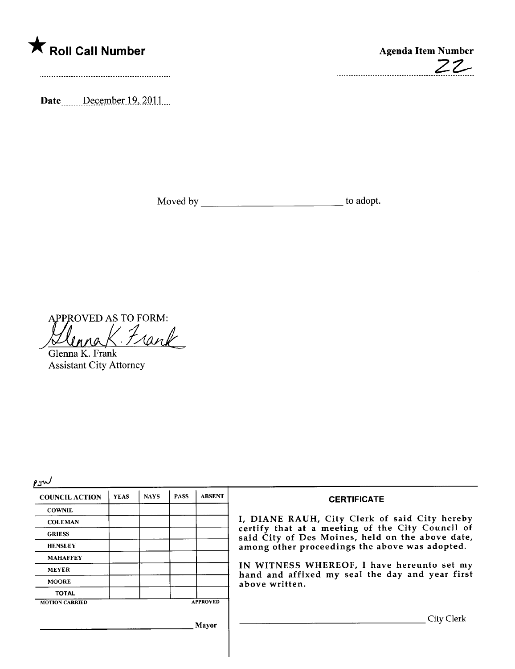

Date. December 19, 2011

Moved by to adopt.

2Z-

..................................

APPROVED AS TO FORM: Frank

Glenna K. Frank Assistant City Attorney

 $2\pi v$ 

| 71 V Y                |             |             |             |                 |                                                                                                                                                                                                                                                                                                                            |
|-----------------------|-------------|-------------|-------------|-----------------|----------------------------------------------------------------------------------------------------------------------------------------------------------------------------------------------------------------------------------------------------------------------------------------------------------------------------|
| <b>COUNCIL ACTION</b> | <b>YEAS</b> | <b>NAYS</b> | <b>PASS</b> | <b>ABSENT</b>   | <b>CERTIFICATE</b>                                                                                                                                                                                                                                                                                                         |
| <b>COWNIE</b>         |             |             |             |                 | I, DIANE RAUH, City Clerk of said City hereby<br>certify that at a meeting of the City Council of<br>said City of Des Moines, held on the above date,<br>among other proceedings the above was adopted.<br>IN WITNESS WHEREOF, I have hereunto set my<br>hand and affixed my seal the day and year first<br>above written. |
| <b>COLEMAN</b>        |             |             |             |                 |                                                                                                                                                                                                                                                                                                                            |
| <b>GRIESS</b>         |             |             |             |                 |                                                                                                                                                                                                                                                                                                                            |
| <b>HENSLEY</b>        |             |             |             |                 |                                                                                                                                                                                                                                                                                                                            |
| <b>MAHAFFEY</b>       |             |             |             |                 |                                                                                                                                                                                                                                                                                                                            |
| <b>MEYER</b>          |             |             |             |                 |                                                                                                                                                                                                                                                                                                                            |
| <b>MOORE</b>          |             |             |             |                 |                                                                                                                                                                                                                                                                                                                            |
| <b>TOTAL</b>          |             |             |             |                 |                                                                                                                                                                                                                                                                                                                            |
| <b>MOTION CARRIED</b> |             |             |             | <b>APPROVED</b> |                                                                                                                                                                                                                                                                                                                            |
| Mayor                 |             |             |             |                 | City Clerk                                                                                                                                                                                                                                                                                                                 |